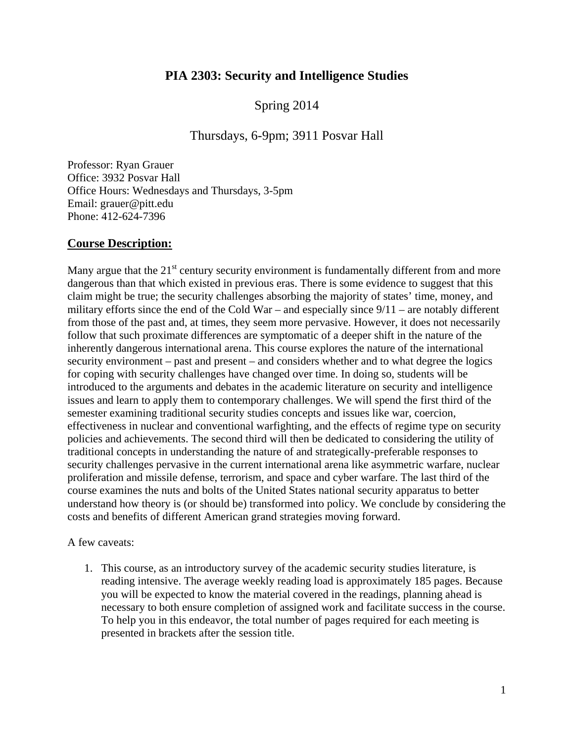# **PIA 2303: Security and Intelligence Studies**

Spring 2014

## Thursdays, 6-9pm; 3911 Posvar Hall

Professor: Ryan Grauer Office: 3932 Posvar Hall Office Hours: Wednesdays and Thursdays, 3-5pm Email: grauer@pitt.edu Phone: 412-624-7396

### **Course Description:**

Many argue that the  $21<sup>st</sup>$  century security environment is fundamentally different from and more dangerous than that which existed in previous eras. There is some evidence to suggest that this claim might be true; the security challenges absorbing the majority of states' time, money, and military efforts since the end of the Cold War – and especially since  $9/11$  – are notably different from those of the past and, at times, they seem more pervasive. However, it does not necessarily follow that such proximate differences are symptomatic of a deeper shift in the nature of the inherently dangerous international arena. This course explores the nature of the international security environment – past and present – and considers whether and to what degree the logics for coping with security challenges have changed over time. In doing so, students will be introduced to the arguments and debates in the academic literature on security and intelligence issues and learn to apply them to contemporary challenges. We will spend the first third of the semester examining traditional security studies concepts and issues like war, coercion, effectiveness in nuclear and conventional warfighting, and the effects of regime type on security policies and achievements. The second third will then be dedicated to considering the utility of traditional concepts in understanding the nature of and strategically-preferable responses to security challenges pervasive in the current international arena like asymmetric warfare, nuclear proliferation and missile defense, terrorism, and space and cyber warfare. The last third of the course examines the nuts and bolts of the United States national security apparatus to better understand how theory is (or should be) transformed into policy. We conclude by considering the costs and benefits of different American grand strategies moving forward.

A few caveats:

1. This course, as an introductory survey of the academic security studies literature, is reading intensive. The average weekly reading load is approximately 185 pages. Because you will be expected to know the material covered in the readings, planning ahead is necessary to both ensure completion of assigned work and facilitate success in the course. To help you in this endeavor, the total number of pages required for each meeting is presented in brackets after the session title.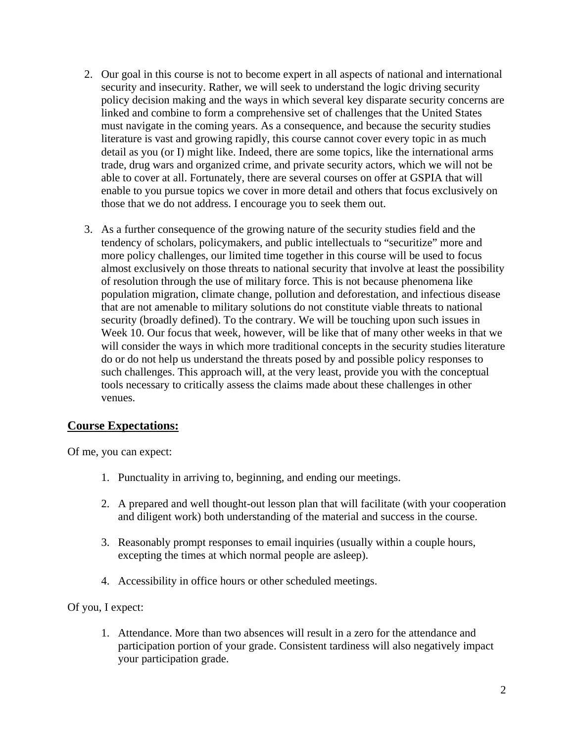- 2. Our goal in this course is not to become expert in all aspects of national and international security and insecurity. Rather, we will seek to understand the logic driving security policy decision making and the ways in which several key disparate security concerns are linked and combine to form a comprehensive set of challenges that the United States must navigate in the coming years. As a consequence, and because the security studies literature is vast and growing rapidly, this course cannot cover every topic in as much detail as you (or I) might like. Indeed, there are some topics, like the international arms trade, drug wars and organized crime, and private security actors, which we will not be able to cover at all. Fortunately, there are several courses on offer at GSPIA that will enable to you pursue topics we cover in more detail and others that focus exclusively on those that we do not address. I encourage you to seek them out.
- 3. As a further consequence of the growing nature of the security studies field and the tendency of scholars, policymakers, and public intellectuals to "securitize" more and more policy challenges, our limited time together in this course will be used to focus almost exclusively on those threats to national security that involve at least the possibility of resolution through the use of military force. This is not because phenomena like population migration, climate change, pollution and deforestation, and infectious disease that are not amenable to military solutions do not constitute viable threats to national security (broadly defined). To the contrary. We will be touching upon such issues in Week 10. Our focus that week, however, will be like that of many other weeks in that we will consider the ways in which more traditional concepts in the security studies literature do or do not help us understand the threats posed by and possible policy responses to such challenges. This approach will, at the very least, provide you with the conceptual tools necessary to critically assess the claims made about these challenges in other venues.

## **Course Expectations:**

Of me, you can expect:

- 1. Punctuality in arriving to, beginning, and ending our meetings.
- 2. A prepared and well thought-out lesson plan that will facilitate (with your cooperation and diligent work) both understanding of the material and success in the course.
- 3. Reasonably prompt responses to email inquiries (usually within a couple hours, excepting the times at which normal people are asleep).
- 4. Accessibility in office hours or other scheduled meetings.

### Of you, I expect:

1. Attendance. More than two absences will result in a zero for the attendance and participation portion of your grade. Consistent tardiness will also negatively impact your participation grade.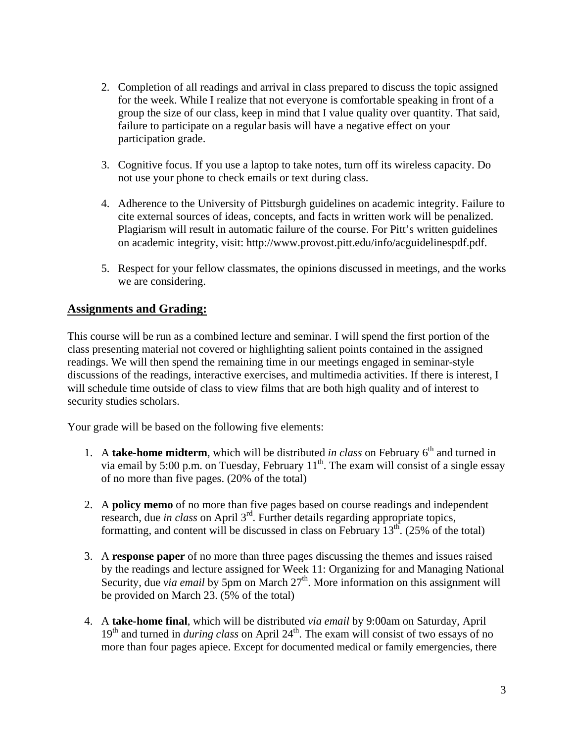- 2. Completion of all readings and arrival in class prepared to discuss the topic assigned for the week. While I realize that not everyone is comfortable speaking in front of a group the size of our class, keep in mind that I value quality over quantity. That said, failure to participate on a regular basis will have a negative effect on your participation grade.
- 3. Cognitive focus. If you use a laptop to take notes, turn off its wireless capacity. Do not use your phone to check emails or text during class.
- 4. Adherence to the University of Pittsburgh guidelines on academic integrity. Failure to cite external sources of ideas, concepts, and facts in written work will be penalized. Plagiarism will result in automatic failure of the course. For Pitt's written guidelines on academic integrity, visit: http://www.provost.pitt.edu/info/acguidelinespdf.pdf.
- 5. Respect for your fellow classmates, the opinions discussed in meetings, and the works we are considering.

## **Assignments and Grading:**

This course will be run as a combined lecture and seminar. I will spend the first portion of the class presenting material not covered or highlighting salient points contained in the assigned readings. We will then spend the remaining time in our meetings engaged in seminar-style discussions of the readings, interactive exercises, and multimedia activities. If there is interest, I will schedule time outside of class to view films that are both high quality and of interest to security studies scholars.

Your grade will be based on the following five elements:

- 1. A **take-home midterm**, which will be distributed *in class* on February  $6<sup>th</sup>$  and turned in via email by 5:00 p.m. on Tuesday, February  $11<sup>th</sup>$ . The exam will consist of a single essay of no more than five pages. (20% of the total)
- 2. A **policy memo** of no more than five pages based on course readings and independent research, due *in class* on April 3rd. Further details regarding appropriate topics, formatting, and content will be discussed in class on February  $13<sup>th</sup>$ . (25% of the total)
- 3. A **response paper** of no more than three pages discussing the themes and issues raised by the readings and lecture assigned for Week 11: Organizing for and Managing National Security, due *via email* by 5pm on March 27<sup>th</sup>. More information on this assignment will be provided on March 23. (5% of the total)
- 4. A **take-home final**, which will be distributed *via email* by 9:00am on Saturday, April 19<sup>th</sup> and turned in *during class* on April 24<sup>th</sup>. The exam will consist of two essays of no more than four pages apiece. Except for documented medical or family emergencies, there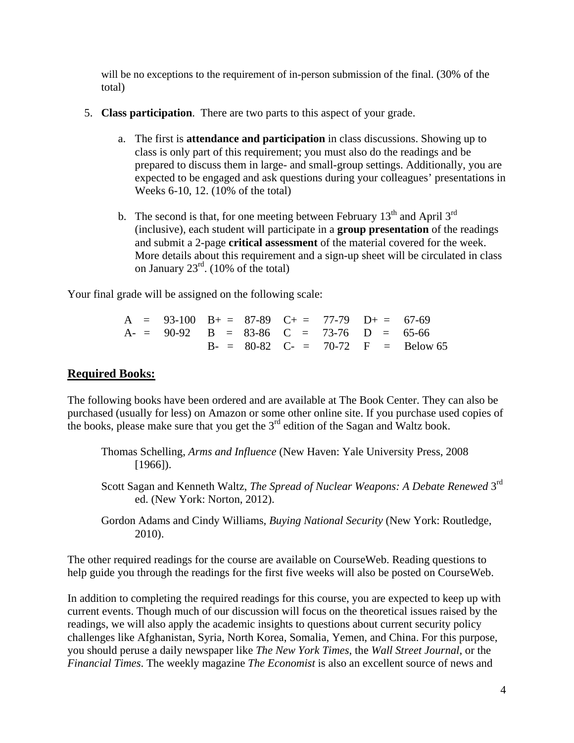will be no exceptions to the requirement of in-person submission of the final. (30% of the total)

- 5. **Class participation**. There are two parts to this aspect of your grade.
	- a. The first is **attendance and participation** in class discussions. Showing up to class is only part of this requirement; you must also do the readings and be prepared to discuss them in large- and small-group settings. Additionally, you are expected to be engaged and ask questions during your colleagues' presentations in Weeks 6-10, 12. (10% of the total)
	- b. The second is that, for one meeting between February  $13<sup>th</sup>$  and April  $3<sup>rd</sup>$ (inclusive), each student will participate in a **group presentation** of the readings and submit a 2-page **critical assessment** of the material covered for the week. More details about this requirement and a sign-up sheet will be circulated in class on January 23rd. (10% of the total)

Your final grade will be assigned on the following scale:

|  | $A = 93-100$ $B_+ = 87-89$ $C_+ = 77-79$ $D_+ = 67-69$ |  |  |                                     |
|--|--------------------------------------------------------|--|--|-------------------------------------|
|  | $A = 90-92$ B = 83-86 C = 73-76 D = 65-66              |  |  |                                     |
|  |                                                        |  |  | $B = 80-82$ C- = 70-72 F = Below 65 |

## **Required Books:**

The following books have been ordered and are available at The Book Center. They can also be purchased (usually for less) on Amazon or some other online site. If you purchase used copies of the books, please make sure that you get the 3<sup>rd</sup> edition of the Sagan and Waltz book.

- Thomas Schelling, *Arms and Influence* (New Haven: Yale University Press, 2008 [1966]).
- Scott Sagan and Kenneth Waltz, *The Spread of Nuclear Weapons: A Debate Renewed* 3rd ed. (New York: Norton, 2012).
- Gordon Adams and Cindy Williams, *Buying National Security* (New York: Routledge, 2010).

The other required readings for the course are available on CourseWeb. Reading questions to help guide you through the readings for the first five weeks will also be posted on CourseWeb.

In addition to completing the required readings for this course, you are expected to keep up with current events. Though much of our discussion will focus on the theoretical issues raised by the readings, we will also apply the academic insights to questions about current security policy challenges like Afghanistan, Syria, North Korea, Somalia, Yemen, and China. For this purpose, you should peruse a daily newspaper like *The New York Times*, the *Wall Street Journal*, or the *Financial Times*. The weekly magazine *The Economist* is also an excellent source of news and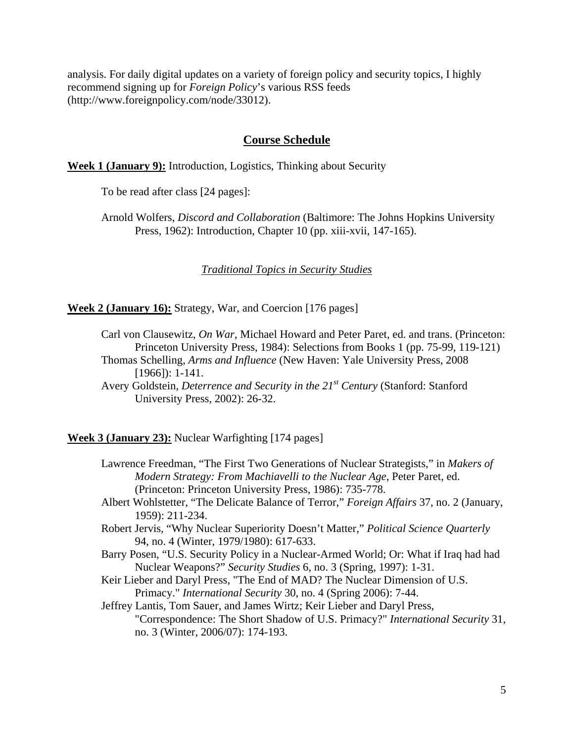analysis. For daily digital updates on a variety of foreign policy and security topics, I highly recommend signing up for *Foreign Policy*'s various RSS feeds (http://www.foreignpolicy.com/node/33012).

### **Course Schedule**

**Week 1 (January 9):** Introduction, Logistics, Thinking about Security

To be read after class [24 pages]:

Arnold Wolfers, *Discord and Collaboration* (Baltimore: The Johns Hopkins University Press, 1962): Introduction, Chapter 10 (pp. xiii-xvii, 147-165).

*Traditional Topics in Security Studies*

**Week 2 (January 16):** Strategy, War, and Coercion [176 pages]

- Carl von Clausewitz, *On War*, Michael Howard and Peter Paret, ed. and trans. (Princeton: Princeton University Press, 1984): Selections from Books 1 (pp. 75-99, 119-121) Thomas Schelling, *Arms and Influence* (New Haven: Yale University Press, 2008 [1966]): 1-141.
- Avery Goldstein, *Deterrence and Security in the 21st Century* (Stanford: Stanford University Press, 2002): 26-32.

**Week 3 (January 23):** Nuclear Warfighting [174 pages]

- Lawrence Freedman, "The First Two Generations of Nuclear Strategists," in *Makers of Modern Strategy: From Machiavelli to the Nuclear Age*, Peter Paret, ed. (Princeton: Princeton University Press, 1986): 735-778.
- Albert Wohlstetter, "The Delicate Balance of Terror," *Foreign Affairs* 37, no. 2 (January, 1959): 211-234.
- Robert Jervis, "Why Nuclear Superiority Doesn't Matter," *Political Science Quarterly* 94, no. 4 (Winter, 1979/1980): 617-633.
- Barry Posen, "U.S. Security Policy in a Nuclear-Armed World; Or: What if Iraq had had Nuclear Weapons?" *Security Studies* 6, no. 3 (Spring, 1997): 1-31.
- Keir Lieber and Daryl Press, "The End of MAD? The Nuclear Dimension of U.S. Primacy." *International Security* 30, no. 4 (Spring 2006): 7-44.

Jeffrey Lantis, Tom Sauer, and James Wirtz; Keir Lieber and Daryl Press, "Correspondence: The Short Shadow of U.S. Primacy?" *International Security* 31, no. 3 (Winter, 2006/07): 174-193.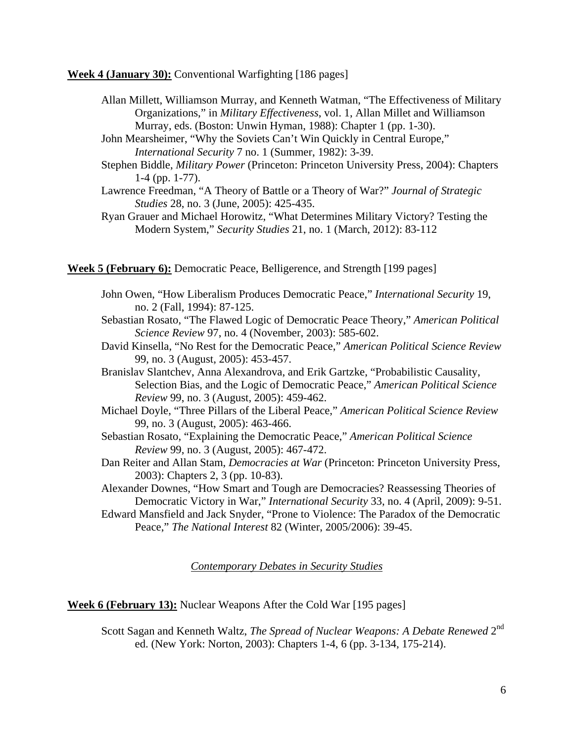**Week 4 (January 30):** Conventional Warfighting [186 pages]

- Allan Millett, Williamson Murray, and Kenneth Watman, "The Effectiveness of Military Organizations," in *Military Effectiveness*, vol. 1, Allan Millet and Williamson Murray, eds. (Boston: Unwin Hyman, 1988): Chapter 1 (pp. 1-30).
- John Mearsheimer, "Why the Soviets Can't Win Quickly in Central Europe," *International Security* 7 no. 1 (Summer, 1982): 3-39.
- Stephen Biddle, *Military Power* (Princeton: Princeton University Press, 2004): Chapters 1-4 (pp. 1-77).
- Lawrence Freedman, "A Theory of Battle or a Theory of War?" *Journal of Strategic Studies* 28, no. 3 (June, 2005): 425-435.
- Ryan Grauer and Michael Horowitz, "What Determines Military Victory? Testing the Modern System," *Security Studies* 21, no. 1 (March, 2012): 83-112

**Week 5 (February 6):** Democratic Peace, Belligerence, and Strength [199 pages]

- John Owen, "How Liberalism Produces Democratic Peace," *International Security* 19, no. 2 (Fall, 1994): 87-125.
- Sebastian Rosato, "The Flawed Logic of Democratic Peace Theory," *American Political Science Review* 97, no. 4 (November, 2003): 585-602.
- David Kinsella, "No Rest for the Democratic Peace," *American Political Science Review* 99, no. 3 (August, 2005): 453-457.
- Branislav Slantchev, Anna Alexandrova, and Erik Gartzke, "Probabilistic Causality, Selection Bias, and the Logic of Democratic Peace," *American Political Science Review* 99, no. 3 (August, 2005): 459-462.
- Michael Doyle, "Three Pillars of the Liberal Peace," *American Political Science Review* 99, no. 3 (August, 2005): 463-466.
- Sebastian Rosato, "Explaining the Democratic Peace," *American Political Science Review* 99, no. 3 (August, 2005): 467-472.
- Dan Reiter and Allan Stam, *Democracies at War* (Princeton: Princeton University Press, 2003): Chapters 2, 3 (pp. 10-83).
- Alexander Downes, "How Smart and Tough are Democracies? Reassessing Theories of Democratic Victory in War," *International Security* 33, no. 4 (April, 2009): 9-51.
- Edward Mansfield and Jack Snyder, "Prone to Violence: The Paradox of the Democratic Peace," *The National Interest* 82 (Winter, 2005/2006): 39-45.

*Contemporary Debates in Security Studies*

**Week 6 (February 13):** Nuclear Weapons After the Cold War [195 pages]

Scott Sagan and Kenneth Waltz, *The Spread of Nuclear Weapons: A Debate Renewed* 2nd ed. (New York: Norton, 2003): Chapters 1-4, 6 (pp. 3-134, 175-214).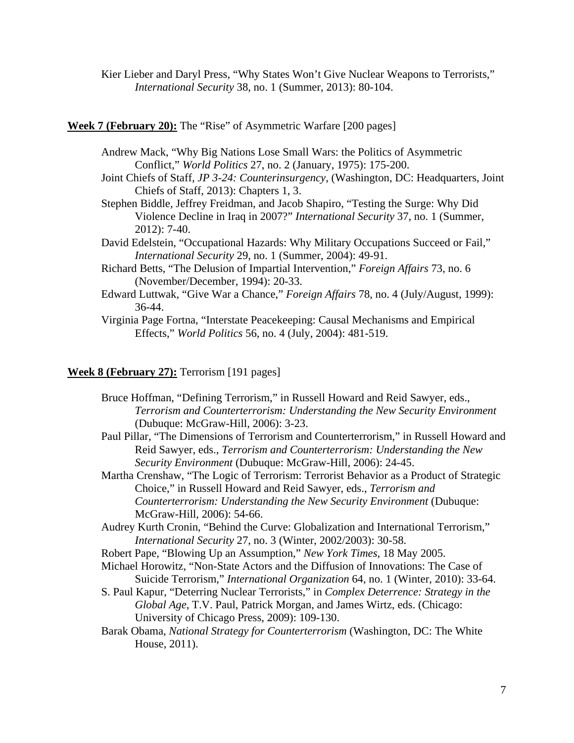Kier Lieber and Daryl Press, "Why States Won't Give Nuclear Weapons to Terrorists," *International Security* 38, no. 1 (Summer, 2013): 80-104.

#### **Week 7 (February 20):** The "Rise" of Asymmetric Warfare [200 pages]

- Andrew Mack, "Why Big Nations Lose Small Wars: the Politics of Asymmetric Conflict," *World Politics* 27, no. 2 (January, 1975): 175-200.
- Joint Chiefs of Staff, *JP 3-24: Counterinsurgency*, (Washington, DC: Headquarters, Joint Chiefs of Staff, 2013): Chapters 1, 3.
- Stephen Biddle, Jeffrey Freidman, and Jacob Shapiro, "Testing the Surge: Why Did Violence Decline in Iraq in 2007?" *International Security* 37, no. 1 (Summer, 2012): 7-40.
- David Edelstein, "Occupational Hazards: Why Military Occupations Succeed or Fail," *International Security* 29, no. 1 (Summer, 2004): 49-91.
- Richard Betts, "The Delusion of Impartial Intervention," *Foreign Affairs* 73, no. 6 (November/December, 1994): 20-33.
- Edward Luttwak, "Give War a Chance," *Foreign Affairs* 78, no. 4 (July/August, 1999): 36-44.
- Virginia Page Fortna, "Interstate Peacekeeping: Causal Mechanisms and Empirical Effects," *World Politics* 56, no. 4 (July, 2004): 481-519.

### **Week 8 (February 27):** Terrorism [191 pages]

- Bruce Hoffman, "Defining Terrorism," in Russell Howard and Reid Sawyer, eds., *Terrorism and Counterterrorism: Understanding the New Security Environment* (Dubuque: McGraw-Hill, 2006): 3-23.
- Paul Pillar, "The Dimensions of Terrorism and Counterterrorism," in Russell Howard and Reid Sawyer, eds., *Terrorism and Counterterrorism: Understanding the New Security Environment* (Dubuque: McGraw-Hill, 2006): 24-45.
- Martha Crenshaw, "The Logic of Terrorism: Terrorist Behavior as a Product of Strategic Choice," in Russell Howard and Reid Sawyer, eds., *Terrorism and Counterterrorism: Understanding the New Security Environment* (Dubuque: McGraw-Hill, 2006): 54-66.
- Audrey Kurth Cronin, "Behind the Curve: Globalization and International Terrorism," *International Security* 27, no. 3 (Winter, 2002/2003): 30-58.
- Robert Pape, "Blowing Up an Assumption," *New York Times*, 18 May 2005.
- Michael Horowitz, "Non-State Actors and the Diffusion of Innovations: The Case of Suicide Terrorism," *International Organization* 64, no. 1 (Winter, 2010): 33-64.
- S. Paul Kapur, "Deterring Nuclear Terrorists," in *Complex Deterrence: Strategy in the Global Age*, T.V. Paul, Patrick Morgan, and James Wirtz, eds. (Chicago: University of Chicago Press, 2009): 109-130.
- Barak Obama, *National Strategy for Counterterrorism* (Washington, DC: The White House, 2011).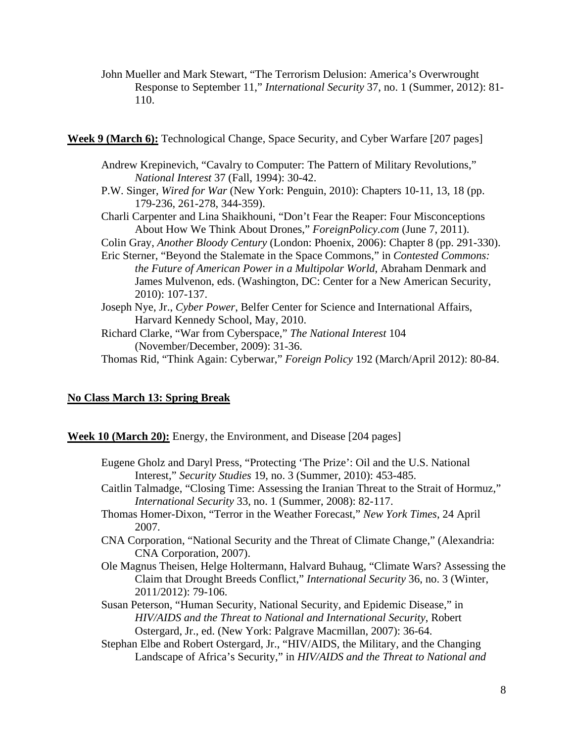John Mueller and Mark Stewart, "The Terrorism Delusion: America's Overwrought Response to September 11," *International Security* 37, no. 1 (Summer, 2012): 81- 110.

**Week 9 (March 6):** Technological Change, Space Security, and Cyber Warfare [207 pages]

- Andrew Krepinevich, "Cavalry to Computer: The Pattern of Military Revolutions," *National Interest* 37 (Fall, 1994): 30-42.
- P.W. Singer, *Wired for War* (New York: Penguin, 2010): Chapters 10-11, 13, 18 (pp. 179-236, 261-278, 344-359).
- Charli Carpenter and Lina Shaikhouni, "Don't Fear the Reaper: Four Misconceptions About How We Think About Drones," *ForeignPolicy.com* (June 7, 2011).
- Colin Gray, *Another Bloody Century* (London: Phoenix, 2006): Chapter 8 (pp. 291-330).
- Eric Sterner, "Beyond the Stalemate in the Space Commons," in *Contested Commons: the Future of American Power in a Multipolar World*, Abraham Denmark and James Mulvenon, eds. (Washington, DC: Center for a New American Security, 2010): 107-137.
- Joseph Nye, Jr., *Cyber Power*, Belfer Center for Science and International Affairs, Harvard Kennedy School, May, 2010.

Richard Clarke, "War from Cyberspace," *The National Interest* 104 (November/December, 2009): 31-36.

Thomas Rid, "Think Again: Cyberwar," *Foreign Policy* 192 (March/April 2012): 80-84.

#### **No Class March 13: Spring Break**

**Week 10 (March 20):** Energy, the Environment, and Disease [204 pages]

- Eugene Gholz and Daryl Press, "Protecting 'The Prize': Oil and the U.S. National Interest," *Security Studies* 19, no. 3 (Summer, 2010): 453-485.
- Caitlin Talmadge, "Closing Time: Assessing the Iranian Threat to the Strait of Hormuz," *International Security* 33, no. 1 (Summer, 2008): 82-117.
- Thomas Homer-Dixon, "Terror in the Weather Forecast," *New York Times*, 24 April 2007.
- CNA Corporation, "National Security and the Threat of Climate Change," (Alexandria: CNA Corporation, 2007).
- Ole Magnus Theisen, Helge Holtermann, Halvard Buhaug, "Climate Wars? Assessing the Claim that Drought Breeds Conflict," *International Security* 36, no. 3 (Winter, 2011/2012): 79-106.
- Susan Peterson, "Human Security, National Security, and Epidemic Disease," in *HIV/AIDS and the Threat to National and International Security*, Robert Ostergard, Jr., ed. (New York: Palgrave Macmillan, 2007): 36-64.
- Stephan Elbe and Robert Ostergard, Jr., "HIV/AIDS, the Military, and the Changing Landscape of Africa's Security," in *HIV/AIDS and the Threat to National and*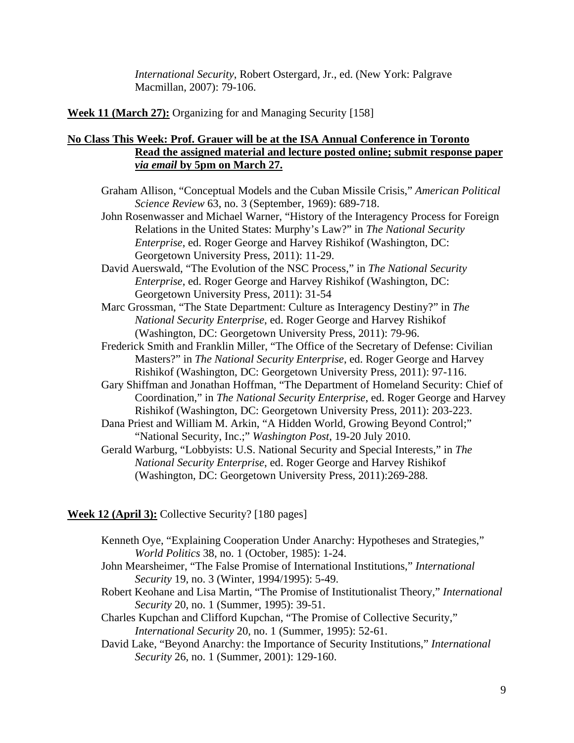*International Security*, Robert Ostergard, Jr., ed. (New York: Palgrave Macmillan, 2007): 79-106.

**Week 11 (March 27):** Organizing for and Managing Security [158]

### **No Class This Week: Prof. Grauer will be at the ISA Annual Conference in Toronto Read the assigned material and lecture posted online; submit response paper**  *via email* **by 5pm on March 27.**

- Graham Allison, "Conceptual Models and the Cuban Missile Crisis," *American Political Science Review* 63, no. 3 (September, 1969): 689-718.
- John Rosenwasser and Michael Warner, "History of the Interagency Process for Foreign Relations in the United States: Murphy's Law?" in *The National Security Enterprise*, ed. Roger George and Harvey Rishikof (Washington, DC: Georgetown University Press, 2011): 11-29.
- David Auerswald, "The Evolution of the NSC Process," in *The National Security Enterprise*, ed. Roger George and Harvey Rishikof (Washington, DC: Georgetown University Press, 2011): 31-54
- Marc Grossman, "The State Department: Culture as Interagency Destiny?" in *The National Security Enterprise*, ed. Roger George and Harvey Rishikof (Washington, DC: Georgetown University Press, 2011): 79-96.
- Frederick Smith and Franklin Miller, "The Office of the Secretary of Defense: Civilian Masters?" in *The National Security Enterprise*, ed. Roger George and Harvey Rishikof (Washington, DC: Georgetown University Press, 2011): 97-116.
- Gary Shiffman and Jonathan Hoffman, "The Department of Homeland Security: Chief of Coordination," in *The National Security Enterprise*, ed. Roger George and Harvey Rishikof (Washington, DC: Georgetown University Press, 2011): 203-223.
- Dana Priest and William M. Arkin, "A Hidden World, Growing Beyond Control;" "National Security, Inc.;" *Washington Post*, 19-20 July 2010.
- Gerald Warburg, "Lobbyists: U.S. National Security and Special Interests," in *The National Security Enterprise*, ed. Roger George and Harvey Rishikof (Washington, DC: Georgetown University Press, 2011):269-288.

#### **Week 12 (April 3):** Collective Security? [180 pages]

- Kenneth Oye, "Explaining Cooperation Under Anarchy: Hypotheses and Strategies," *World Politics* 38, no. 1 (October, 1985): 1-24.
- John Mearsheimer, "The False Promise of International Institutions," *International Security* 19, no. 3 (Winter, 1994/1995): 5-49.
- Robert Keohane and Lisa Martin, "The Promise of Institutionalist Theory," *International Security* 20, no. 1 (Summer, 1995): 39-51.
- Charles Kupchan and Clifford Kupchan, "The Promise of Collective Security," *International Security* 20, no. 1 (Summer, 1995): 52-61.
- David Lake, "Beyond Anarchy: the Importance of Security Institutions," *International Security* 26, no. 1 (Summer, 2001): 129-160.